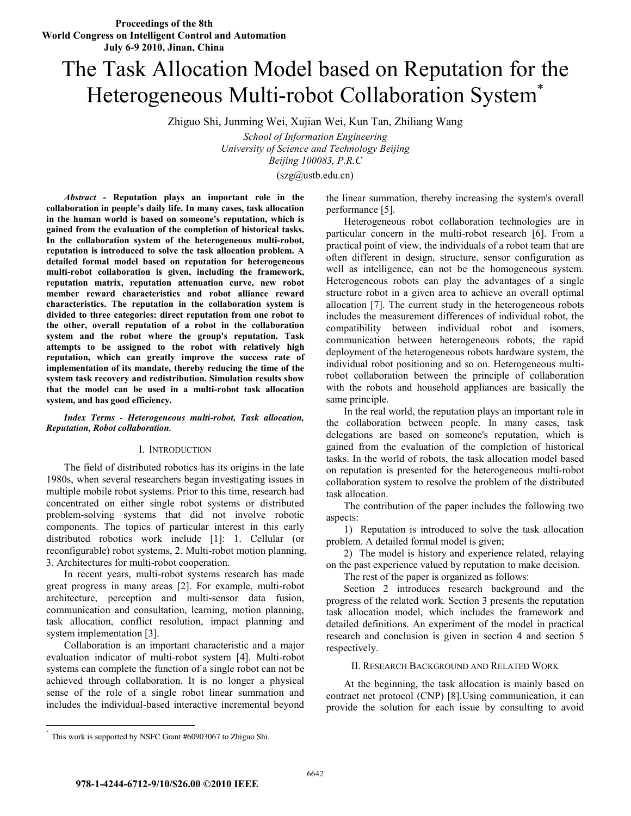# The Task Allocation Model based on Reputation for the Heterogeneous Multi-robot Collaboration System\*

Zhiguo Shi, Junming Wei, Xujian Wei, Kun Tan, Zhiliang Wang

*School of Information Engineering University of Science and Technology Beijing Beijing 100083, P.R.C* 

(szg@ustb.edu.cn)

 *Abstract* **- Reputation plays an important role in the collaboration in people's daily life. In many cases, task allocation in the human world is based on someone's reputation, which is gained from the evaluation of the completion of historical tasks. In the collaboration system of the heterogeneous multi-robot, reputation is introduced to solve the task allocation problem. A detailed formal model based on reputation for heterogeneous multi-robot collaboration is given, including the framework, reputation matrix, reputation attenuation curve, new robot member reward characteristics and robot alliance reward characteristics. The reputation in the collaboration system is divided to three categories: direct reputation from one robot to the other, overall reputation of a robot in the collaboration system and the robot where the group's reputation. Task attempts to be assigned to the robot with relatively high reputation, which can greatly improve the success rate of implementation of its mandate, thereby reducing the time of the system task recovery and redistribution. Simulation results show that the model can be used in a multi-robot task allocation system, and has good efficiency.** 

*Index Terms - Heterogeneous multi-robot, Task allocation, Reputation, Robot collaboration.* 

# I. INTRODUCTION

The field of distributed robotics has its origins in the late 1980s, when several researchers began investigating issues in multiple mobile robot systems. Prior to this time, research had concentrated on either single robot systems or distributed problem-solving systems that did not involve robotic components. The topics of particular interest in this early distributed robotics work include [1]: 1. Cellular (or reconfigurable) robot systems, 2. Multi-robot motion planning, 3. Architectures for multi-robot cooperation.

In recent years, multi-robot systems research has made great progress in many areas [2]. For example, multi-robot architecture, perception and multi-sensor data fusion, communication and consultation, learning, motion planning, task allocation, conflict resolution, impact planning and system implementation [3].

Collaboration is an important characteristic and a major evaluation indicator of multi-robot system [4]. Multi-robot systems can complete the function of a single robot can not be achieved through collaboration. It is no longer a physical sense of the role of a single robot linear summation and includes the individual-based interactive incremental beyond

the linear summation, thereby increasing the system's overall performance [5].

Heterogeneous robot collaboration technologies are in particular concern in the multi-robot research [6]. From a practical point of view, the individuals of a robot team that are often different in design, structure, sensor configuration as well as intelligence, can not be the homogeneous system. Heterogeneous robots can play the advantages of a single structure robot in a given area to achieve an overall optimal allocation [7]. The current study in the heterogeneous robots includes the measurement differences of individual robot, the compatibility between individual robot and isomers, communication between heterogeneous robots, the rapid deployment of the heterogeneous robots hardware system, the individual robot positioning and so on. Heterogeneous multirobot collaboration between the principle of collaboration with the robots and household appliances are basically the same principle.

In the real world, the reputation plays an important role in the collaboration between people. In many cases, task delegations are based on someone's reputation, which is gained from the evaluation of the completion of historical tasks. In the world of robots, the task allocation model based on reputation is presented for the heterogeneous multi-robot collaboration system to resolve the problem of the distributed task allocation.

The contribution of the paper includes the following two aspects:

1) Reputation is introduced to solve the task allocation problem. A detailed formal model is given;

2) The model is history and experience related, relaying on the past experience valued by reputation to make decision.

The rest of the paper is organized as follows:

Section 2 introduces research background and the progress of the related work. Section 3 presents the reputation task allocation model, which includes the framework and detailed definitions. An experiment of the model in practical research and conclusion is given in section 4 and section 5 respectively.

# II. RESEARCH BACKGROUND AND RELATED WORK

At the beginning, the task allocation is mainly based on contract net protocol (CNP) [8].Using communication, it can provide the solution for each issue by consulting to avoid

 $\overline{a}$ 

This work is supported by NSFC Grant #60903067 to Zhiguo Shi.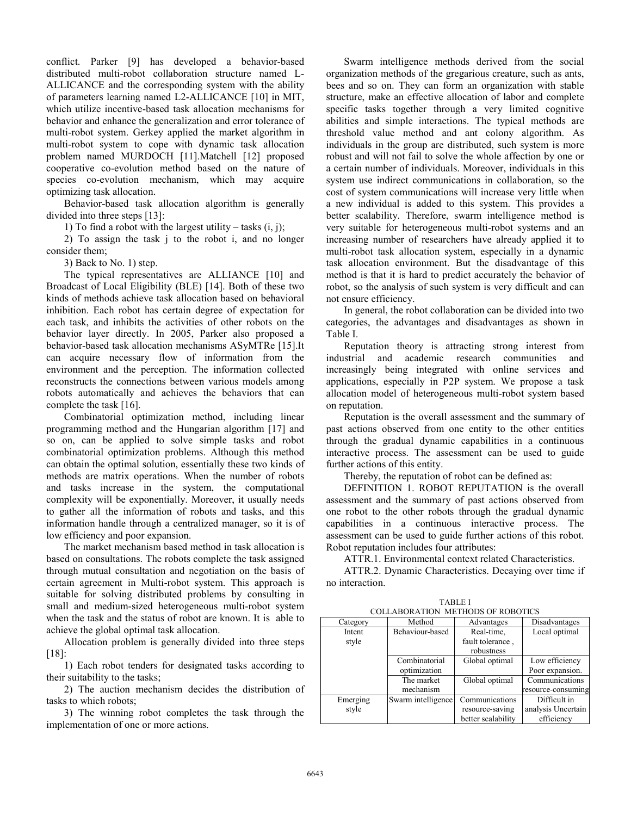conflict. Parker [9] has developed a behavior-based distributed multi-robot collaboration structure named L-ALLICANCE and the corresponding system with the ability of parameters learning named L2-ALLICANCE [10] in MIT, which utilize incentive-based task allocation mechanisms for behavior and enhance the generalization and error tolerance of multi-robot system. Gerkey applied the market algorithm in multi-robot system to cope with dynamic task allocation problem named MURDOCH [11].Matchell [12] proposed cooperative co-evolution method based on the nature of species co-evolution mechanism, which may acquire optimizing task allocation.

Behavior-based task allocation algorithm is generally divided into three steps [13]:

1) To find a robot with the largest utility – tasks  $(i, j)$ ;

2) To assign the task j to the robot i, and no longer consider them;

3) Back to No. 1) step.

The typical representatives are ALLIANCE [10] and Broadcast of Local Eligibility (BLE) [14]. Both of these two kinds of methods achieve task allocation based on behavioral inhibition. Each robot has certain degree of expectation for each task, and inhibits the activities of other robots on the behavior layer directly. In 2005, Parker also proposed a behavior-based task allocation mechanisms ASyMTRe [15].It can acquire necessary flow of information from the environment and the perception. The information collected reconstructs the connections between various models among robots automatically and achieves the behaviors that can complete the task [16].

Combinatorial optimization method, including linear programming method and the Hungarian algorithm [17] and so on, can be applied to solve simple tasks and robot combinatorial optimization problems. Although this method can obtain the optimal solution, essentially these two kinds of methods are matrix operations. When the number of robots and tasks increase in the system, the computational complexity will be exponentially. Moreover, it usually needs to gather all the information of robots and tasks, and this information handle through a centralized manager, so it is of low efficiency and poor expansion.

The market mechanism based method in task allocation is based on consultations. The robots complete the task assigned through mutual consultation and negotiation on the basis of certain agreement in Multi-robot system. This approach is suitable for solving distributed problems by consulting in small and medium-sized heterogeneous multi-robot system when the task and the status of robot are known. It is able to achieve the global optimal task allocation.

Allocation problem is generally divided into three steps [18]:

1) Each robot tenders for designated tasks according to their suitability to the tasks;

2) The auction mechanism decides the distribution of tasks to which robots;

3) The winning robot completes the task through the implementation of one or more actions.

Swarm intelligence methods derived from the social organization methods of the gregarious creature, such as ants, bees and so on. They can form an organization with stable structure, make an effective allocation of labor and complete specific tasks together through a very limited cognitive abilities and simple interactions. The typical methods are threshold value method and ant colony algorithm. As individuals in the group are distributed, such system is more robust and will not fail to solve the whole affection by one or a certain number of individuals. Moreover, individuals in this system use indirect communications in collaboration, so the cost of system communications will increase very little when a new individual is added to this system. This provides a better scalability. Therefore, swarm intelligence method is very suitable for heterogeneous multi-robot systems and an increasing number of researchers have already applied it to multi-robot task allocation system, especially in a dynamic task allocation environment. But the disadvantage of this method is that it is hard to predict accurately the behavior of robot, so the analysis of such system is very difficult and can not ensure efficiency.

In general, the robot collaboration can be divided into two categories, the advantages and disadvantages as shown in Table I.

Reputation theory is attracting strong interest from industrial and academic research communities and increasingly being integrated with online services and applications, especially in P2P system. We propose a task allocation model of heterogeneous multi-robot system based on reputation.

Reputation is the overall assessment and the summary of past actions observed from one entity to the other entities through the gradual dynamic capabilities in a continuous interactive process. The assessment can be used to guide further actions of this entity.

Thereby, the reputation of robot can be defined as:

DEFINITION 1. ROBOT REPUTATION is the overall assessment and the summary of past actions observed from one robot to the other robots through the gradual dynamic capabilities in a continuous interactive process. The assessment can be used to guide further actions of this robot. Robot reputation includes four attributes:

ATTR.1. Environmental context related Characteristics.

ATTR.2. Dynamic Characteristics. Decaying over time if no interaction.

| COLLABORATION METHODS OF ROBOTICS |                    |                    |                    |  |  |  |  |
|-----------------------------------|--------------------|--------------------|--------------------|--|--|--|--|
| Category                          | Method             | Advantages         | Disadvantages      |  |  |  |  |
| Intent                            | Behaviour-based    | Real-time.         | Local optimal      |  |  |  |  |
| style                             |                    | fault tolerance,   |                    |  |  |  |  |
|                                   |                    | robustness         |                    |  |  |  |  |
|                                   | Combinatorial      | Global optimal     | Low efficiency     |  |  |  |  |
|                                   | optimization       |                    | Poor expansion.    |  |  |  |  |
|                                   | The market         | Global optimal     | Communications     |  |  |  |  |
|                                   | mechanism          |                    | resource-consuming |  |  |  |  |
| Emerging                          | Swarm intelligence | Communications     | Difficult in       |  |  |  |  |
| style                             |                    | resource-saving    | analysis Uncertain |  |  |  |  |
|                                   |                    | better scalability | efficiency         |  |  |  |  |

TABLE I COLLABORATION METHODS OF ROBOTICS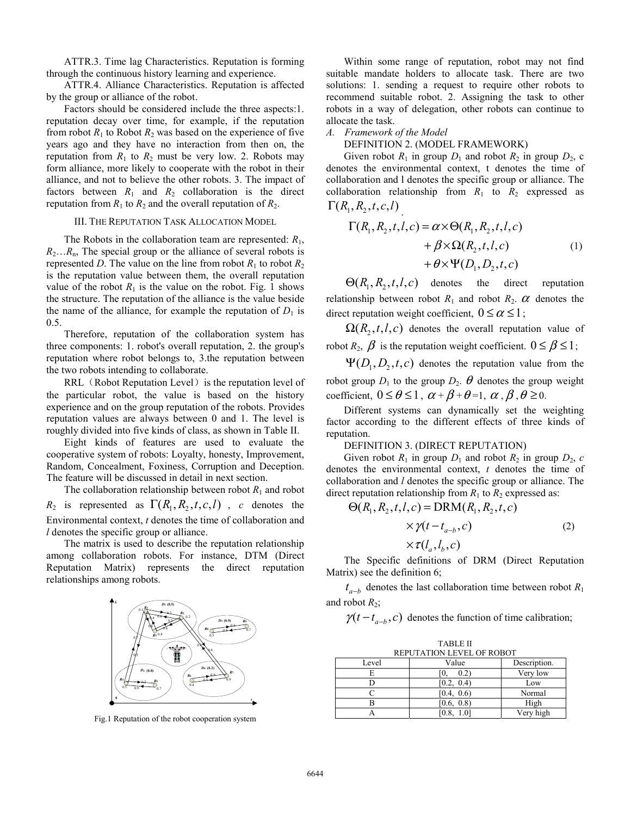ATTR.3. Time lag Characteristics. Reputation is forming through the continuous history learning and experience.

ATTR.4. Alliance Characteristics. Reputation is affected by the group or alliance of the robot.

Factors should be considered include the three aspects:1. reputation decay over time, for example, if the reputation from robot  $R_1$  to Robot  $R_2$  was based on the experience of five years ago and they have no interaction from then on, the reputation from  $R_1$  to  $R_2$  must be very low. 2. Robots may form alliance, more likely to cooperate with the robot in their alliance, and not to believe the other robots. 3. The impact of factors between  $R_1$  and  $R_2$  collaboration is the direct reputation from  $R_1$  to  $R_2$  and the overall reputation of  $R_2$ .

# III. THE REPUTATION TASK ALLOCATION MODEL

The Robots in the collaboration team are represented: *R*1,  $R_2...R_n$ , The special group or the alliance of several robots is represented *D*. The value on the line from robot  $R_1$  to robot  $R_2$ is the reputation value between them, the overall reputation value of the robot  $R_1$  is the value on the robot. Fig. 1 shows the structure. The reputation of the alliance is the value beside the name of the alliance, for example the reputation of  $D_1$  is 0.5.

Therefore, reputation of the collaboration system has three components: 1. robot's overall reputation, 2. the group's reputation where robot belongs to, 3.the reputation between the two robots intending to collaborate.

 $RRL$  (Robot Reputation Level) is the reputation level of the particular robot, the value is based on the history experience and on the group reputation of the robots. Provides reputation values are always between 0 and 1. The level is roughly divided into five kinds of class, as shown in Table II.

Eight kinds of features are used to evaluate the cooperative system of robots: Loyalty, honesty, Improvement, Random, Concealment, Foxiness, Corruption and Deception. The feature will be discussed in detail in next section.

The collaboration relationship between robot  $R_1$  and robot

 $R_2$  is represented as  $\Gamma(R_1, R_2, t, c, l)$ , *c* denotes the Environmental context, *t* denotes the time of collaboration and *l* denotes the specific group or alliance.

The matrix is used to describe the reputation relationship among collaboration robots. For instance, DTM (Direct Reputation Matrix) represents the direct reputation relationships among robots.



Fig.1 Reputation of the robot cooperation system

Within some range of reputation, robot may not find suitable mandate holders to allocate task. There are two solutions: 1. sending a request to require other robots to recommend suitable robot. 2. Assigning the task to other robots in a way of delegation, other robots can continue to allocate the task.

*A. Framework of the Model* 

DEFINITION 2. (MODEL FRAMEWORK)

Given robot  $R_1$  in group  $D_1$  and robot  $R_2$  in group  $D_2$ , c denotes the environmental context, t denotes the time of collaboration and l denotes the specific group or alliance. The collaboration relationship from  $R_1$  to  $R_2$  expressed as  $\Gamma(R_1, R_2, t, c, l)$ 

$$
\Gamma(R_1, R_2, t, l, c) = \alpha \times \Theta(R_1, R_2, t, l, c)
$$
  
+  $\beta \times \Omega(R_2, t, l, c)$   
+  $\theta \times \Psi(D_1, D_2, t, c)$  (1)

 $\Theta(R_1, R_2, t, l, c)$  denotes the direct reputation relationship between robot  $R_1$  and robot  $R_2$ .  $\alpha$  denotes the direct reputation weight coefficient,  $0 \le \alpha \le 1$ ;

 $\Omega(R_1, t, l, c)$  denotes the overall reputation value of robot  $R_2$ ,  $\beta$  is the reputation weight coefficient.  $0 \le \beta \le 1$ ;

 $\Psi(D_1, D_2, t, c)$  denotes the reputation value from the

robot group  $D_1$  to the group  $D_2$ .  $\theta$  denotes the group weight coefficient,  $0 \le \theta \le 1$ ,  $\alpha + \beta + \theta = 1$ ,  $\alpha$ ,  $\beta$ ,  $\theta \ge 0$ .

Different systems can dynamically set the weighting factor according to the different effects of three kinds of reputation.

#### DEFINITION 3. (DIRECT REPUTATION)

Given robot  $R_1$  in group  $D_1$  and robot  $R_2$  in group  $D_2$ ,  $c$ denotes the environmental context, *t* denotes the time of collaboration and *l* denotes the specific group or alliance. The direct reputation relationship from  $R_1$  to  $R_2$  expressed as:

$$
\Theta(R_1, R_2, t, l, c) = \text{DRM}(R_1, R_2, t, c)
$$
  
 
$$
\times \gamma(t - t_{a-b}, c) \tag{2}
$$

$$
\times \tau(l_a, l_b, c)
$$

The Specific definitions of DRM (Direct Reputation Matrix) see the definition 6;

 $t_{a-b}$  denotes the last collaboration time between robot  $R_1$ and robot  $R_2$ ;

 $\gamma(t-t_{a-b}, c)$  denotes the function of time calibration;

| <b>TABLE II</b>                  |       |  |  |  |  |  |
|----------------------------------|-------|--|--|--|--|--|
| <b>REPUTATION LEVEL OF ROBOT</b> |       |  |  |  |  |  |
|                                  | Value |  |  |  |  |  |

| Level | Value      | Description. |
|-------|------------|--------------|
|       | 0.2)       | Very low     |
|       | [0.2, 0.4) | Low          |
|       | [0.4, 0.6] | Normal       |
|       | [0.6, 0.8) | High         |
|       |            | Very high    |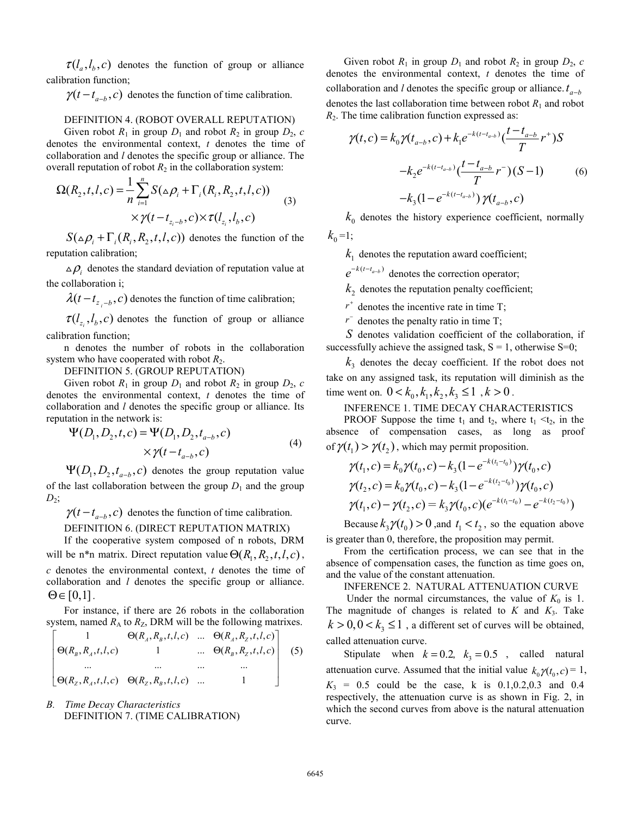$\tau(l_a, l_b, c)$  denotes the function of group or alliance calibration function;

 $\gamma(t-t_{a-b}, c)$  denotes the function of time calibration.

## DEFINITION 4. (ROBOT OVERALL REPUTATION)

Given robot  $R_1$  in group  $D_1$  and robot  $R_2$  in group  $D_2$ ,  $c$ denotes the environmental context, *t* denotes the time of collaboration and *l* denotes the specific group or alliance. The overall reputation of robot  $R_2$  in the collaboration system:

$$
\Omega(R_2, t, l, c) = \frac{1}{n} \sum_{i=1}^n S(\Delta \rho_i + \Gamma_i(R_i, R_2, t, l, c))
$$
  
 
$$
\times \gamma(t - t_{z_i - b}, c) \times \tau(l_{z_i}, l_b, c)
$$
 (3)

 $S(\Delta \rho_i + \Gamma_i(R_i, R_i, t, l, c))$  denotes the function of the reputation calibration;

 $\Delta \rho_i$  denotes the standard deviation of reputation value at the collaboration i;

 $\lambda(t - t_{z_{n-h}}, c)$  denotes the function of time calibration;

 $\tau(l_z, l_b, c)$  denotes the function of group or alliance calibration function;

n denotes the number of robots in the collaboration system who have cooperated with robot  $R_2$ .

DEFINITION 5. (GROUP REPUTATION)

Given robot  $R_1$  in group  $D_1$  and robot  $R_2$  in group  $D_2$ ,  $c$ denotes the environmental context, *t* denotes the time of collaboration and *l* denotes the specific group or alliance. Its reputation in the network is:

$$
\Psi(D_1, D_2, t, c) = \Psi(D_1, D_2, t_{a-b}, c)
$$
  
 
$$
\times \gamma(t - t_{a-b}, c)
$$
 (4)

 $\Psi(D_1, D_2, t_{a-b}, c)$  denotes the group reputation value of the last collaboration between the group  $D_1$  and the group  $D_2$ ;

 $\gamma(t-t_{a-b}, c)$  denotes the function of time calibration.

DEFINITION 6. (DIRECT REPUTATION MATRIX)

If the cooperative system composed of n robots, DRM will be n<sup>\*</sup>n matrix. Direct reputation value  $\Theta(R_1, R_2, t, l, c)$ , *c* denotes the environmental context, *t* denotes the time of collaboration and *l* denotes the specific group or alliance.  $\Theta \in [0,1]$ .

For instance, if there are 26 robots in the collaboration system, named  $R_A$  to  $R_Z$ , DRM will be the following matrixes.

$$
\begin{bmatrix}\n1 & \Theta(R_A, R_B, t, l, c) & \dots & \Theta(R_A, R_Z, t, l, c) \\
\Theta(R_B, R_A, t, l, c) & 1 & \dots & \Theta(R_B, R_Z, t, l, c) \\
\vdots & \vdots & \ddots & \vdots \\
\Theta(R_Z, R_A, t, l, c) & \Theta(R_Z, R_B, t, l, c) & \dots & 1\n\end{bmatrix}
$$
\n(5)

*B. Time Decay Characteristics*  DEFINITION 7. (TIME CALIBRATION)

Given robot  $R_1$  in group  $D_1$  and robot  $R_2$  in group  $D_2$ ,  $c$ denotes the environmental context, *t* denotes the time of collaboration and *l* denotes the specific group or alliance.  $t_{a-b}$ denotes the last collaboration time between robot  $R_1$  and robot *R*<sub>2</sub>. The time calibration function expressed as:

$$
\gamma(t,c) = k_0 \gamma(t_{a-b}, c) + k_1 e^{-k(t - t_{a-b})} \left(\frac{t - t_{a-b}}{T} r^+\right) S
$$
  

$$
-k_2 e^{-k(t - t_{a-b})} \left(\frac{t - t_{a-b}}{T} r^-\right) (S - 1)
$$
  

$$
-k_3 (1 - e^{-k(t - t_{a-b})}) \gamma(t_{a-b}, c)
$$
  
(6)

 $k_0$  denotes the history experience coefficient, normally  $k_0 = 1$ ;

 $k<sub>1</sub>$  denotes the reputation award coefficient;

 $e^{-k(t-t_{a-b})}$  denotes the correction operator;

 $k<sub>2</sub>$  denotes the reputation penalty coefficient;

 $r^+$  denotes the incentive rate in time T;

 $r<sup>-</sup>$  denotes the penalty ratio in time T;

*S* denotes validation coefficient of the collaboration, if successfully achieve the assigned task,  $S = 1$ , otherwise  $S=0$ ;

 $k<sub>3</sub>$  denotes the decay coefficient. If the robot does not take on any assigned task, its reputation will diminish as the time went on.  $0 < k_0, k_1, k_2, k_3 \le 1, k > 0$ .

# INFERENCE 1. TIME DECAY CHARACTERISTICS

PROOF Suppose the time  $t_1$  and  $t_2$ , where  $t_1 \leq t_2$ , in the absence of compensation cases, as long as proof of  $\gamma(t_1) > \gamma(t_2)$ , which may permit proposition.

$$
\gamma(t_1, c) = k_0 \gamma(t_0, c) - k_3 (1 - e^{-k(t_1 - t_0)}) \gamma(t_0, c)
$$
  
\n
$$
\gamma(t_2, c) = k_0 \gamma(t_0, c) - k_3 (1 - e^{-k(t_2 - t_0)}) \gamma(t_0, c)
$$
  
\n
$$
\gamma(t_1, c) - \gamma(t_2, c) = k_3 \gamma(t_0, c) (e^{-k(t_1 - t_0)} - e^{-k(t_2 - t_0)})
$$

Because  $k_3 \gamma(t_0) > 0$ , and  $t_1 < t_2$ , so the equation above is greater than 0, therefore, the proposition may permit.

From the certification process, we can see that in the absence of compensation cases, the function as time goes on, and the value of the constant attenuation.

#### INFERENCE 2. NATURAL ATTENUATION CURVE

Under the normal circumstances, the value of  $K_0$  is 1. The magnitude of changes is related to  $K$  and  $K_3$ . Take  $k > 0, 0 < k<sub>3</sub> \le 1$ , a different set of curves will be obtained, called attenuation curve.

Stipulate when  $k = 0.2$ ,  $k<sub>3</sub> = 0.5$ , called natural attenuation curve. Assumed that the initial value  $k_0 \gamma(t_0, c) = 1$ ,  $K_3$  = 0.5 could be the case, k is 0.1,0.2,0.3 and 0.4 respectively, the attenuation curve is as shown in Fig. 2, in which the second curves from above is the natural attenuation curve.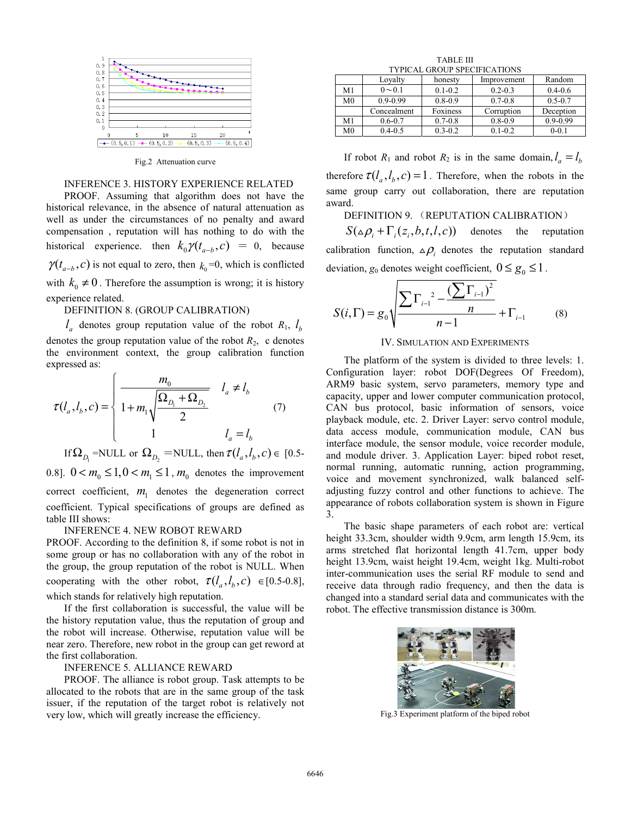

Fig.2 Attenuation curve

#### INFERENCE 3. HISTORY EXPERIENCE RELATED

PROOF. Assuming that algorithm does not have the historical relevance, in the absence of natural attenuation as well as under the circumstances of no penalty and award compensation , reputation will has nothing to do with the historical experience. then  $k_0 \gamma(t_{a-b}, c) = 0$ , because  $\gamma(t_{a-b}, c)$  is not equal to zero, then  $k_0 = 0$ , which is conflicted with  $k_0 \neq 0$ . Therefore the assumption is wrong; it is history experience related.

### DEFINITION 8. (GROUP CALIBRATION)

 $l_a$  denotes group reputation value of the robot  $R_1$ ,  $l_b$ denotes the group reputation value of the robot  $R_2$ , c denotes the environment context, the group calibration function expressed as:

$$
\tau(l_a, l_b, c) = \begin{cases} \frac{m_0}{1 + m_1 \sqrt{\frac{\Omega_{D_1} + \Omega_{D_2}}{2}}} & l_a \neq l_b \\ 1 & 2 & (7) \\ 1 & l_a = l_b \end{cases}
$$

If  $\Omega_{D_1}$  =NULL or  $\Omega_{D_2}$  =NULL, then  $\tau(l_a, l_b, c) \in [0.5-$ 0.8].  $0 < m_0 \leq 1, 0 < m_1 \leq 1, m_0$  denotes the improvement correct coefficient,  $m_1$  denotes the degeneration correct coefficient. Typical specifications of groups are defined as table III shows:

#### INFERENCE 4. NEW ROBOT REWARD

PROOF. According to the definition 8, if some robot is not in some group or has no collaboration with any of the robot in the group, the group reputation of the robot is NULL. When cooperating with the other robot,  $\tau(l_a, l_b, c) \in [0.5-0.8]$ , which stands for relatively high reputation.

If the first collaboration is successful, the value will be the history reputation value, thus the reputation of group and the robot will increase. Otherwise, reputation value will be near zero. Therefore, new robot in the group can get reword at the first collaboration.

# INFERENCE 5. ALLIANCE REWARD

PROOF. The alliance is robot group. Task attempts to be allocated to the robots that are in the same group of the task issuer, if the reputation of the target robot is relatively not very low, which will greatly increase the efficiency.

TABLE III TYPICAL GROUP SPECIFICATIONS

|  |    | Loyalty        | honesty     | Improvement | Random       |  |  |  |
|--|----|----------------|-------------|-------------|--------------|--|--|--|
|  | M1 | $0\!\sim\!0.1$ | $0.1 - 0.2$ | $0.2 - 0.3$ | $0.4 - 0.6$  |  |  |  |
|  | M0 | $0.9 - 0.99$   | $0.8 - 0.9$ | $0.7 - 0.8$ | $0.5 - 0.7$  |  |  |  |
|  |    | Concealment    | Foxiness    | Corruption  | Deception    |  |  |  |
|  | M1 | $0.6 - 0.7$    | $0.7 - 0.8$ | $0.8 - 0.9$ | $0.9 - 0.99$ |  |  |  |
|  | M0 | $0.4 - 0.5$    | $0.3 - 0.2$ | $0.1 - 0.2$ | $0 - 0.1$    |  |  |  |

If robot  $R_1$  and robot  $R_2$  is in the same domain,  $l_a = l_b$ therefore  $\tau(l_a, l_b, c) = 1$ . Therefore, when the robots in the same group carry out collaboration, there are reputation award.

# DEFINITION 9. (REPUTATION CALIBRATION)

 $S(\Delta \rho_i + \Gamma_i(z_i, b, t, l, c))$  denotes the reputation calibration function,  $\Delta \rho_i$  denotes the reputation standard deviation,  $g_0$  denotes weight coefficient,  $0 \le g_0 \le 1$ .

$$
S(i,\Gamma) = g_0 \sqrt{\frac{\sum \Gamma_{i-1}^2 - \frac{(\sum \Gamma_{i-1})^2}{n}}{n-1} + \Gamma_{i-1}}
$$
 (8)

## IV. SIMULATION AND EXPERIMENTS

The platform of the system is divided to three levels: 1. Configuration layer: robot DOF(Degrees Of Freedom), ARM9 basic system, servo parameters, memory type and capacity, upper and lower computer communication protocol, CAN bus protocol, basic information of sensors, voice playback module, etc. 2. Driver Layer: servo control module, data access module, communication module, CAN bus interface module, the sensor module, voice recorder module, and module driver. 3. Application Layer: biped robot reset, normal running, automatic running, action programming, voice and movement synchronized, walk balanced selfadjusting fuzzy control and other functions to achieve. The appearance of robots collaboration system is shown in Figure 3.

The basic shape parameters of each robot are: vertical height 33.3cm, shoulder width 9.9cm, arm length 15.9cm, its arms stretched flat horizontal length 41.7cm, upper body height 13.9cm, waist height 19.4cm, weight 1kg. Multi-robot inter-communication uses the serial RF module to send and receive data through radio frequency, and then the data is changed into a standard serial data and communicates with the robot. The effective transmission distance is 300m.



Fig.3 Experiment platform of the biped robot